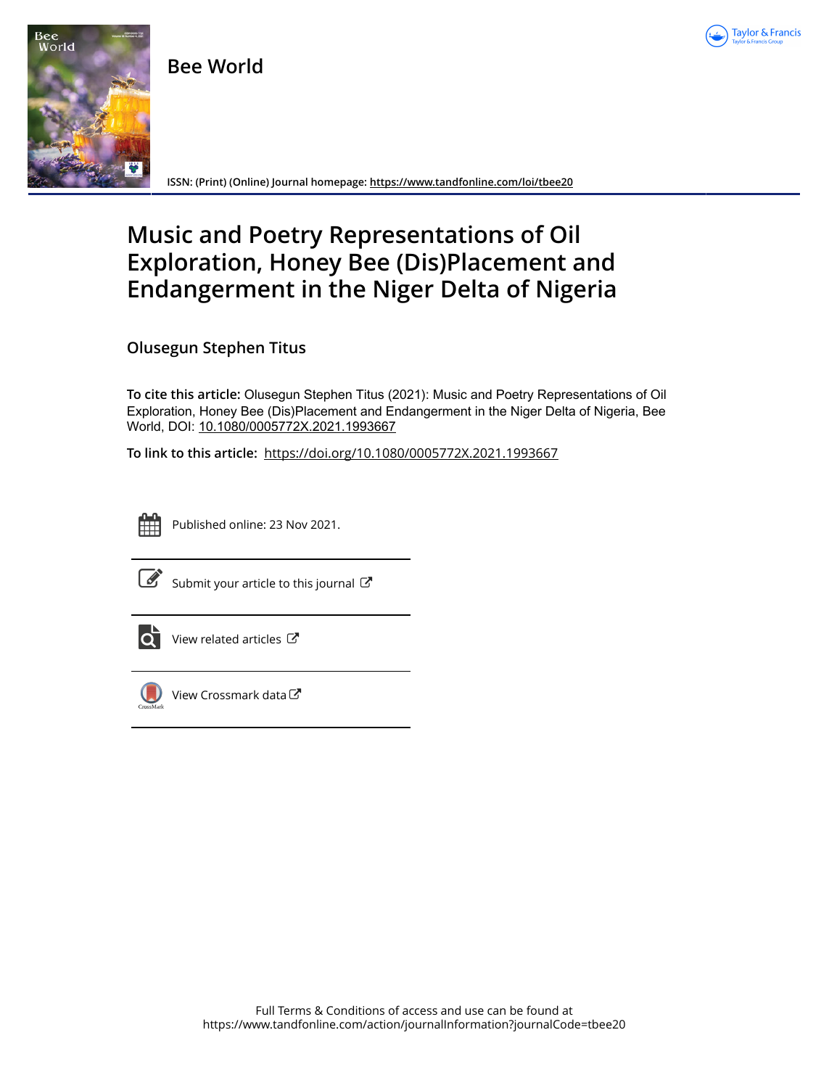

**Bee World**



**ISSN: (Print) (Online) Journal homepage:<https://www.tandfonline.com/loi/tbee20>**

## **Music and Poetry Representations of Oil Exploration, Honey Bee (Dis)Placement and Endangerment in the Niger Delta of Nigeria**

**Olusegun Stephen Titus**

**To cite this article:** Olusegun Stephen Titus (2021): Music and Poetry Representations of Oil Exploration, Honey Bee (Dis)Placement and Endangerment in the Niger Delta of Nigeria, Bee World, DOI: [10.1080/0005772X.2021.1993667](https://www.tandfonline.com/action/showCitFormats?doi=10.1080/0005772X.2021.1993667)

**To link to this article:** <https://doi.org/10.1080/0005772X.2021.1993667>



Published online: 23 Nov 2021.



 $\overrightarrow{S}$  [Submit your article to this journal](https://www.tandfonline.com/action/authorSubmission?journalCode=tbee20&show=instructions)  $\overrightarrow{S}$ 



 $\overrightarrow{Q}$  [View related articles](https://www.tandfonline.com/doi/mlt/10.1080/0005772X.2021.1993667)  $\overrightarrow{C}$ 



 $\bigcirc$  [View Crossmark data](http://crossmark.crossref.org/dialog/?doi=10.1080/0005772X.2021.1993667&domain=pdf&date_stamp=2021-11-23) $\mathbb{Z}$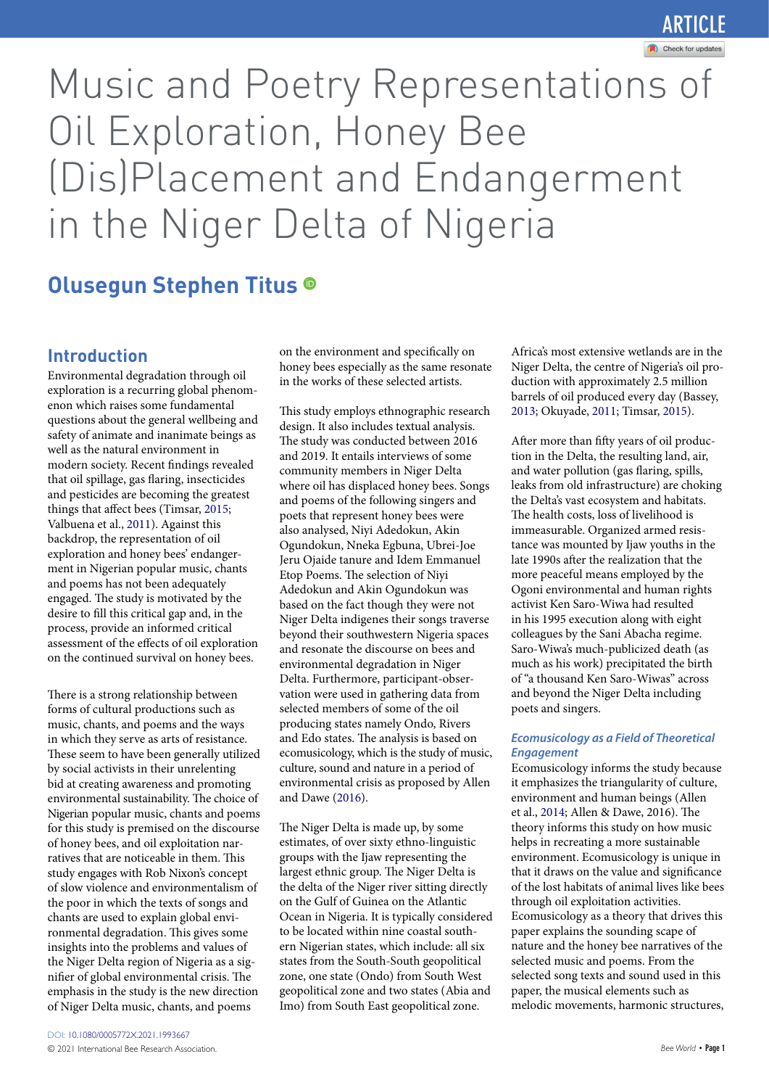## Article

# Music and Poetry Representations of Oil Exploration, Honey Bee (Dis)Placement and Endangerment in the Niger Delta of Nigeria

### **Olusegun Stephen Titus**

#### **Introduction**

<span id="page-1-5"></span><span id="page-1-4"></span>Environmental degradation through oil exploration is a recurring global phenomenon which raises some fundamental questions about the general wellbeing and safety of animate and inanimate beings as well as the natural environment in modern society. Recent findings revealed that oil spillage, gas flaring, insecticides and pesticides are becoming the greatest things that affect bees (Timsar, [2015;](#page-5-0) Valbuena et al., [2011\)](#page-5-1). Against this backdrop, the representation of oil exploration and honey bees' endangerment in Nigerian popular music, chants and poems has not been adequately engaged. The study is motivated by the desire to fill this critical gap and, in the process, provide an informed critical assessment of the effects of oil exploration on the continued survival on honey bees.

There is a strong relationship between forms of cultural productions such as music, chants, and poems and the ways in which they serve as arts of resistance. These seem to have been generally utilized by social activists in their unrelenting bid at creating awareness and promoting environmental sustainability. The choice of Nigerian popular music, chants and poems for this study is premised on the discourse of honey bees, and oil exploitation narratives that are noticeable in them. This study engages with Rob Nixon's concept of slow violence and environmentalism of the poor in which the texts of songs and chants are used to explain global environmental degradation. This gives some insights into the problems and values of the Niger Delta region of Nigeria as a signifier of global environmental crisis. The emphasis in the study is the new direction of Niger Delta music, chants, and poems

on the environment and specifically on honey bees especially as the same resonate in the works of these selected artists.

This study employs ethnographic research design. It also includes textual analysis. The study was conducted between 2016 and 2019. It entails interviews of some community members in Niger Delta where oil has displaced honey bees. Songs and poems of the following singers and poets that represent honey bees were also analysed, Niyi Adedokun, Akin Ogundokun, Nneka Egbuna, Ubrei-Joe Jeru Ojaide tanure and Idem Emmanuel Etop Poems. The selection of Niyi Adedokun and Akin Ogundokun was based on the fact though they were not Niger Delta indigenes their songs traverse beyond their southwestern Nigeria spaces and resonate the discourse on bees and environmental degradation in Niger Delta. Furthermore, participant-observation were used in gathering data from selected members of some of the oil producing states namely Ondo, Rivers and Edo states. The analysis is based on ecomusicology, which is the study of music, culture, sound and nature in a period of environmental crisis as proposed by Allen and Dawe ([2016\)](#page-5-2).

<span id="page-1-0"></span>The Niger Delta is made up, by some estimates, of over sixty ethno-linguistic groups with the Ijaw representing the largest ethnic group. The Niger Delta is the delta of the Niger river sitting directly on the Gulf of Guinea on the Atlantic Ocean in Nigeria. It is typically considered to be located within nine coastal southern Nigerian states, which include: all six states from the South-South geopolitical zone, one state (Ondo) from South West geopolitical zone and two states (Abia and Imo) from South East geopolitical zone.

Africa's most extensive wetlands are in the Niger Delta, the centre of Nigeria's oil production with approximately 2.5 million barrels of oil produced every day (Bassey, [2013;](#page-5-3) Okuyade, [2011](#page-5-4); Timsar, [2015](#page-5-5)).

<span id="page-1-3"></span><span id="page-1-2"></span>After more than fifty years of oil production in the Delta, the resulting land, air, and water pollution (gas flaring, spills, leaks from old infrastructure) are choking the Delta's vast ecosystem and habitats. The health costs, loss of livelihood is immeasurable. Organized armed resistance was mounted by Ijaw youths in the late 1990s after the realization that the more peaceful means employed by the Ogoni environmental and human rights activist Ken Saro-Wiwa had resulted in his 1995 execution along with eight colleagues by the Sani Abacha regime. Saro-Wiwa's much-publicized death (as much as his work) precipitated the birth of "a thousand Ken Saro-Wiwas" across and beyond the Niger Delta including poets and singers.

#### *Ecomusicology as a Field of Theoretical Engagement*

<span id="page-1-1"></span>Ecomusicology informs the study because it emphasizes the triangularity of culture, environment and human beings (Allen et al., [2014](#page-5-6); Allen & Dawe, 2016). The theory informs this study on how music helps in recreating a more sustainable environment. Ecomusicology is unique in that it draws on the value and significance of the lost habitats of animal lives like bees through oil exploitation activities. Ecomusicology as a theory that drives this paper explains the sounding scape of nature and the honey bee narratives of the selected music and poems. From the selected song texts and sound used in this paper, the musical elements such as melodic movements, harmonic structures,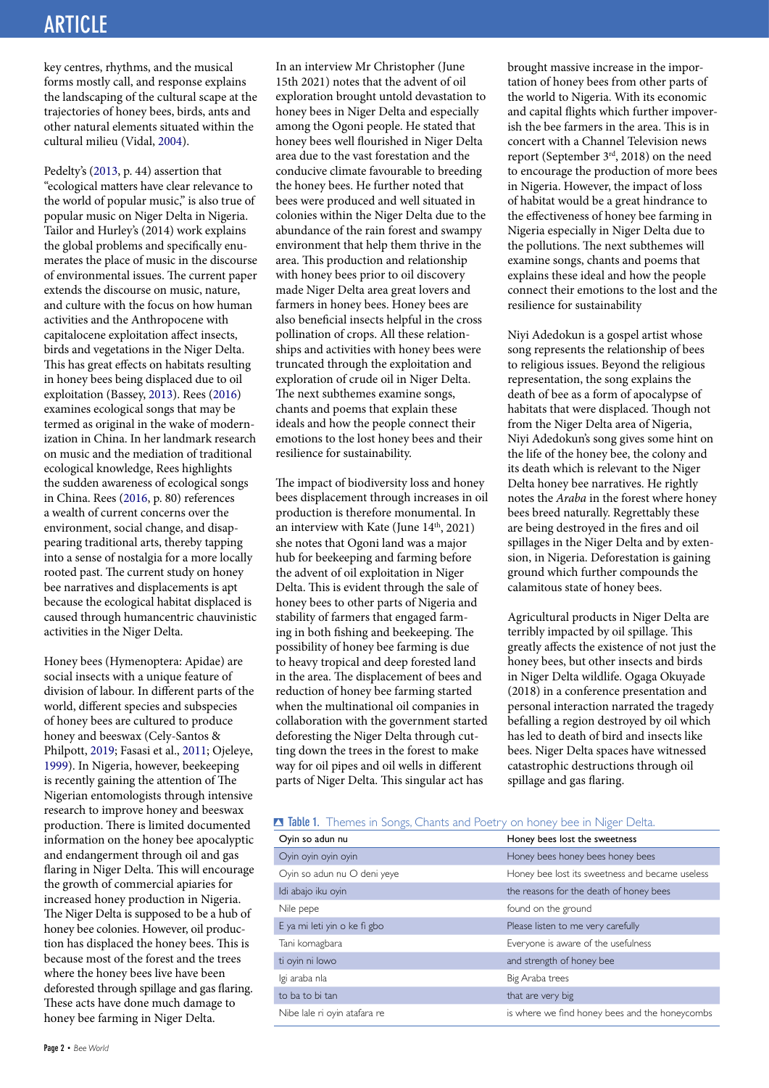## Article Article

key centres, rhythms, and the musical forms mostly call, and response explains the landscaping of the cultural scape at the trajectories of honey bees, birds, ants and other natural elements situated within the cultural milieu (Vidal, [2004](#page-5-7)).

<span id="page-2-5"></span><span id="page-2-3"></span>Pedelty's ([2013](#page-5-8), p. 44) assertion that "ecological matters have clear relevance to the world of popular music," is also true of popular music on Niger Delta in Nigeria. Tailor and Hurley's (2014) work explains the global problems and specifically enumerates the place of music in the discourse of environmental issues. The current paper extends the discourse on music, nature, and culture with the focus on how human activities and the Anthropocene with capitalocene exploitation affect insects, birds and vegetations in the Niger Delta. This has great effects on habitats resulting in honey bees being displaced due to oil exploitation (Bassey, [2013\)](#page-5-9). Rees ([2016](#page-5-10)) examines ecological songs that may be termed as original in the wake of modernization in China. In her landmark research on music and the mediation of traditional ecological knowledge, Rees highlights the sudden awareness of ecological songs in China. Rees ([2016](#page-5-11), p. 80) references a wealth of current concerns over the environment, social change, and disappearing traditional arts, thereby tapping into a sense of nostalgia for a more locally rooted past. The current study on honey bee narratives and displacements is apt because the ecological habitat displaced is caused through humancentric chauvinistic activities in the Niger Delta.

<span id="page-2-2"></span><span id="page-2-0"></span>Honey bees (Hymenoptera: Apidae) are social insects with a unique feature of division of labour. In different parts of the world, different species and subspecies of honey bees are cultured to produce honey and beeswax (Cely-Santos & Philpott, [2019;](#page-5-12) Fasasi et al., [2011](#page-5-13); Ojeleye, [1999\)](#page-5-14). In Nigeria, however, beekeeping is recently gaining the attention of The Nigerian entomologists through intensive research to improve honey and beeswax production. There is limited documented information on the honey bee apocalyptic and endangerment through oil and gas flaring in Niger Delta. This will encourage the growth of commercial apiaries for increased honey production in Nigeria. The Niger Delta is supposed to be a hub of honey bee colonies. However, oil production has displaced the honey bees. This is because most of the forest and the trees where the honey bees live have been deforested through spillage and gas flaring. These acts have done much damage to honey bee farming in Niger Delta.

In an interview Mr Christopher (June 15th 2021) notes that the advent of oil exploration brought untold devastation to honey bees in Niger Delta and especially among the Ogoni people. He stated that honey bees well flourished in Niger Delta area due to the vast forestation and the conducive climate favourable to breeding the honey bees. He further noted that bees were produced and well situated in colonies within the Niger Delta due to the abundance of the rain forest and swampy environment that help them thrive in the area. This production and relationship with honey bees prior to oil discovery made Niger Delta area great lovers and farmers in honey bees. Honey bees are also beneficial insects helpful in the cross pollination of crops. All these relationships and activities with honey bees were truncated through the exploitation and exploration of crude oil in Niger Delta. The next subthemes examine songs, chants and poems that explain these ideals and how the people connect their emotions to the lost honey bees and their resilience for sustainability.

<span id="page-2-4"></span>The impact of biodiversity loss and honey bees displacement through increases in oil production is therefore monumental. In an interview with Kate (June  $14<sup>th</sup>$ , 2021) she notes that Ogoni land was a major hub for beekeeping and farming before the advent of oil exploitation in Niger Delta. This is evident through the sale of honey bees to other parts of Nigeria and stability of farmers that engaged farming in both fishing and beekeeping. The possibility of honey bee farming is due to heavy tropical and deep forested land in the area. The displacement of bees and reduction of honey bee farming started when the multinational oil companies in collaboration with the government started deforesting the Niger Delta through cutting down the trees in the forest to make way for oil pipes and oil wells in different parts of Niger Delta. This singular act has

brought massive increase in the importation of honey bees from other parts of the world to Nigeria. With its economic and capital flights which further impoverish the bee farmers in the area. This is in concert with a Channel Television news report (September 3rd, 2018) on the need to encourage the production of more bees in Nigeria. However, the impact of loss of habitat would be a great hindrance to the effectiveness of honey bee farming in Nigeria especially in Niger Delta due to the pollutions. The next subthemes will examine songs, chants and poems that explains these ideal and how the people connect their emotions to the lost and the resilience for sustainability

Niyi Adedokun is a gospel artist whose song represents the relationship of bees to religious issues. Beyond the religious representation, the song explains the death of bee as a form of apocalypse of habitats that were displaced. Though not from the Niger Delta area of Nigeria, Niyi Adedokun's song gives some hint on the life of the honey bee, the colony and its death which is relevant to the Niger Delta honey bee narratives. He rightly notes the *Araba* in the forest where honey bees breed naturally. Regrettably these are being destroyed in the fires and oil spillages in the Niger Delta and by extension, in Nigeria. Deforestation is gaining ground which further compounds the calamitous state of honey bees.

Agricultural products in Niger Delta are terribly impacted by oil spillage. This greatly affects the existence of not just the honey bees, but other insects and birds in Niger Delta wildlife. Ogaga Okuyade (2018) in a conference presentation and personal interaction narrated the tragedy befalling a region destroyed by oil which has led to death of bird and insects like bees. Niger Delta spaces have witnessed catastrophic destructions through oil spillage and gas flaring.

<span id="page-2-1"></span>

|  |  |  |  |  |  |  |  | Table 1. Themes in Songs, Chants and Poetry on honey bee in Niger Delta. |
|--|--|--|--|--|--|--|--|--------------------------------------------------------------------------|
|--|--|--|--|--|--|--|--|--------------------------------------------------------------------------|

| Oyin so adun nu              | Honey bees lost the sweetness                   |
|------------------------------|-------------------------------------------------|
| Oyin oyin oyin oyin          | Honey bees honey bees honey bees                |
| Oyin so adun nu O deni yeye  | Honey bee lost its sweetness and became useless |
| Idi abajo iku oyin           | the reasons for the death of honey bees         |
| Nile pepe                    | found on the ground                             |
| E ya mi leti yin o ke fi gbo | Please listen to me very carefully              |
| Tani komagbara               | Everyone is aware of the usefulness             |
| ti oyin ni lowo              | and strength of honey bee                       |
| lgi araba nla                | Big Araba trees                                 |
| to ba to bi tan              | that are very big                               |
| Nibe lale ri oyin atafara re | is where we find honey bees and the honeycombs  |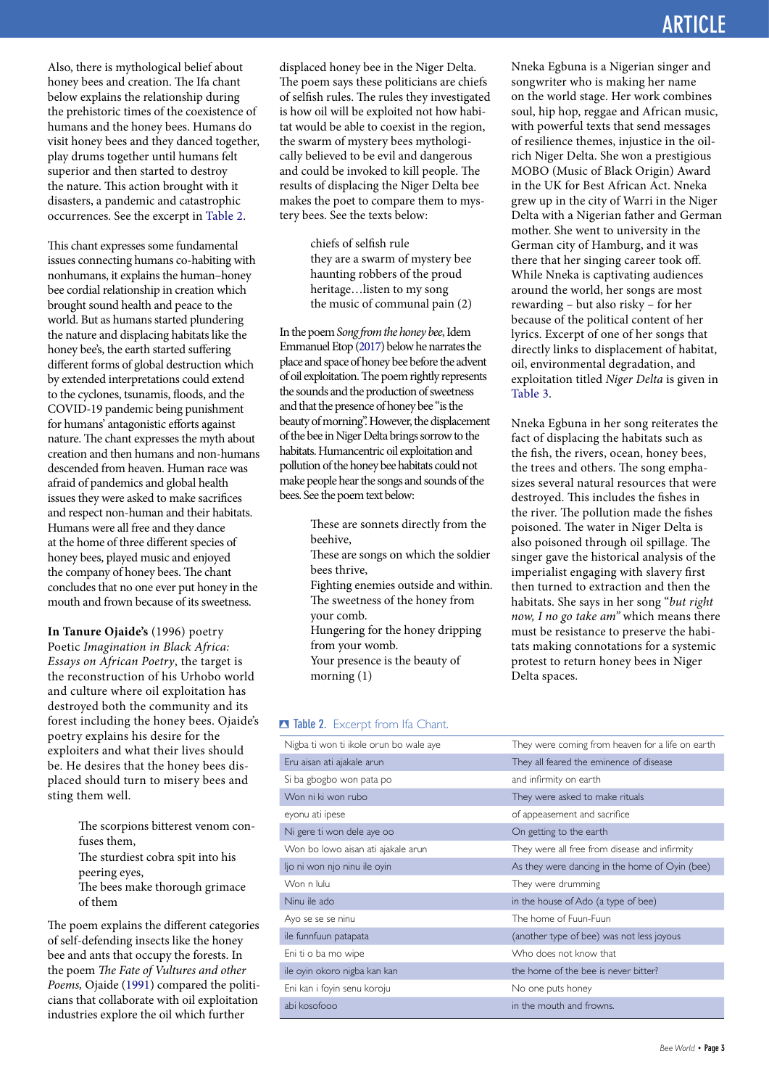Also, there is mythological belief about honey bees and creation. The Ifa chant below explains the relationship during the prehistoric times of the coexistence of humans and the honey bees. Humans do visit honey bees and they danced together, play drums together until humans felt superior and then started to destroy the nature. This action brought with it disasters, a pandemic and catastrophic occurrences. See the excerpt in [Table 2](#page-3-0).

This chant expresses some fundamental issues connecting humans co-habiting with nonhumans, it explains the human–honey bee cordial relationship in creation which brought sound health and peace to the world. But as humans started plundering the nature and displacing habitats like the honey bee's, the earth started suffering different forms of global destruction which by extended interpretations could extend to the cyclones, tsunamis, floods, and the COVID-19 pandemic being punishment for humans' antagonistic efforts against nature. The chant expresses the myth about creation and then humans and non-humans descended from heaven. Human race was afraid of pandemics and global health issues they were asked to make sacrifices and respect non-human and their habitats. Humans were all free and they dance at the home of three different species of honey bees, played music and enjoyed the company of honey bees. The chant concludes that no one ever put honey in the mouth and frown because of its sweetness.

**In Tanure Ojaide's** (1996) poetry Poetic *Imagination in Black Africa: Essays on African Poetry*, the target is the reconstruction of his Urhobo world and culture where oil exploitation has destroyed both the community and its forest including the honey bees. Ojaide's poetry explains his desire for the exploiters and what their lives should be. He desires that the honey bees displaced should turn to misery bees and sting them well.

- The scorpions bitterest venom confuses them,
- The sturdiest cobra spit into his
- peering eyes,
- The bees make thorough grimace of them

<span id="page-3-2"></span>The poem explains the different categories of self-defending insects like the honey bee and ants that occupy the forests. In the poem *The Fate of Vultures and other Poems,* Ojaide [\(1991](#page-5-15)) compared the politicians that collaborate with oil exploitation industries explore the oil which further

displaced honey bee in the Niger Delta. The poem says these politicians are chiefs of selfish rules. The rules they investigated is how oil will be exploited not how habitat would be able to coexist in the region, the swarm of mystery bees mythologically believed to be evil and dangerous and could be invoked to kill people. The results of displacing the Niger Delta bee makes the poet to compare them to mystery bees. See the texts below:

> chiefs of selfish rule they are a swarm of mystery bee haunting robbers of the proud heritage…listen to my song the music of communal pain (2)

<span id="page-3-1"></span>In the poem *Song from the honey bee*, Idem Emmanuel Etop [\(2017\)](#page-5-16) below he narrates the place and space of honey bee before the advent of oil exploitation. The poem rightly represents the sounds and the production of sweetness and that the presence of honey bee "is the beauty of morning". However, the displacement of the bee in Niger Delta brings sorrow to the habitats. Humancentric oil exploitation and pollution of the honey bee habitats could not make people hear the songs and sounds of the bees. See the poem text below:

- These are sonnets directly from the beehive,
- These are songs on which the soldier bees thrive,
- Fighting enemies outside and within. The sweetness of the honey from your comb.
- Hungering for the honey dripping from your womb.
- Your presence is the beauty of morning (1)

#### Nneka Egbuna is a Nigerian singer and songwriter who is making her name on the world stage. Her work combines soul, hip hop, reggae and African music, with powerful texts that send messages of resilience themes, injustice in the oilrich Niger Delta. She won a prestigious MOBO (Music of Black Origin) Award in the UK for Best African Act. Nneka grew up in the city of Warri in the Niger Delta with a Nigerian father and German mother. She went to university in the German city of Hamburg, and it was there that her singing career took off. While Nneka is captivating audiences around the world, her songs are most rewarding – but also risky – for her because of the political content of her lyrics. Excerpt of one of her songs that directly links to displacement of habitat, oil, environmental degradation, and exploitation titled *Niger Delta* is given in [Table 3.](#page-4-0)

Nneka Egbuna in her song reiterates the fact of displacing the habitats such as the fish, the rivers, ocean, honey bees, the trees and others. The song emphasizes several natural resources that were destroyed. This includes the fishes in the river. The pollution made the fishes poisoned. The water in Niger Delta is also poisoned through oil spillage. The singer gave the historical analysis of the imperialist engaging with slavery first then turned to extraction and then the habitats. She says in her song "*but right now, I no go take am"* which means there must be resistance to preserve the habitats making connotations for a systemic protest to return honey bees in Niger Delta spaces.

#### <span id="page-3-0"></span>**B** Table 2. Excerpt from Ifa Chant.

| Nigba ti won ti ikole orun bo wale aye | They were coming from heaven for a life on earth |
|----------------------------------------|--------------------------------------------------|
| Eru aisan ati ajakale arun             | They all feared the eminence of disease          |
| Si ba gbogbo won pata po               | and infirmity on earth                           |
| Won ni ki won rubo                     | They were asked to make rituals                  |
| eyonu ati ipese                        | of appeasement and sacrifice                     |
| Ni gere ti won dele aye oo             | On getting to the earth                          |
| Won bo lowo aisan ati ajakale arun     | They were all free from disease and infirmity    |
| ljo ni won njo ninu ile oyin           | As they were dancing in the home of Oyin (bee)   |
| Won n lulu                             | They were drumming                               |
| Ninu ile ado                           | in the house of Ado (a type of bee)              |
| Ayo se se se ninu                      | The home of Fuun-Fuun                            |
| ile funnfuun patapata                  | (another type of bee) was not less joyous        |
| Eni ti o ba mo wipe                    | Who does not know that                           |
| ile oyin okoro nigba kan kan           | the home of the bee is never bitter?             |
| Eni kan i foyin senu koroju            | No one puts honey                                |
| abi kosofooo                           | in the mouth and frowns.                         |
|                                        |                                                  |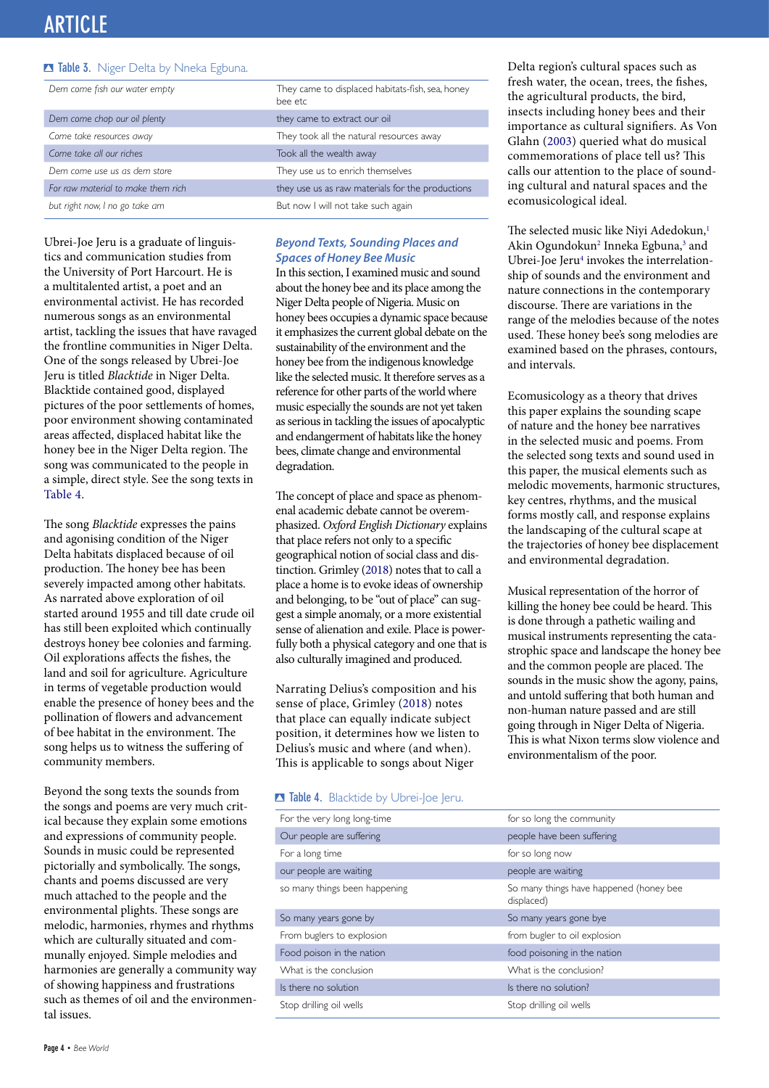## Article Article

#### <span id="page-4-0"></span>**B Table 3.** Niger Delta by Nneka Egbuna.

| Dem come fish our water empty      | They came to displaced habitats-fish, sea, honey<br>bee etc |  |  |
|------------------------------------|-------------------------------------------------------------|--|--|
| Dem come chop our oil plenty       | they came to extract our oil                                |  |  |
| Come take resources away           | They took all the natural resources away                    |  |  |
| Come take all our riches           | Took all the wealth away                                    |  |  |
| Dem come use us as dem store       | They use us to enrich themselves                            |  |  |
| For raw material to make them rich | they use us as raw materials for the productions            |  |  |
| but right now, I no go take am     | But now I will not take such again                          |  |  |

Ubrei-Joe Jeru is a graduate of linguistics and communication studies from the University of Port Harcourt. He is a multitalented artist, a poet and an environmental activist. He has recorded numerous songs as an environmental artist, tackling the issues that have ravaged the frontline communities in Niger Delta. One of the songs released by Ubrei-Joe Jeru is titled *Blacktide* in Niger Delta. Blacktide contained good, displayed pictures of the poor settlements of homes, poor environment showing contaminated areas affected, displaced habitat like the honey bee in the Niger Delta region. The song was communicated to the people in a simple, direct style. See the song texts in [Table 4](#page-4-1).

The song *Blacktide* expresses the pains and agonising condition of the Niger Delta habitats displaced because of oil production. The honey bee has been severely impacted among other habitats. As narrated above exploration of oil started around 1955 and till date crude oil has still been exploited which continually destroys honey bee colonies and farming. Oil explorations affects the fishes, the land and soil for agriculture. Agriculture in terms of vegetable production would enable the presence of honey bees and the pollination of flowers and advancement of bee habitat in the environment. The song helps us to witness the suffering of community members.

Beyond the song texts the sounds from the songs and poems are very much critical because they explain some emotions and expressions of community people. Sounds in music could be represented pictorially and symbolically. The songs, chants and poems discussed are very much attached to the people and the environmental plights. These songs are melodic, harmonies, rhymes and rhythms which are culturally situated and communally enjoyed. Simple melodies and harmonies are generally a community way of showing happiness and frustrations such as themes of oil and the environmental issues.

#### *Beyond Texts, Sounding Places and Spaces of Honey Bee Music*

In this section, I examined music and sound about the honey bee and its place among the Niger Delta people of Nigeria. Music on honey bees occupies a dynamic space because it emphasizes the current global debate on the sustainability of the environment and the honey bee from the indigenous knowledge like the selected music. It therefore serves as a reference for other parts of the world where music especially the sounds are not yet taken as serious in tackling the issues of apocalyptic and endangerment of habitats like the honey bees, climate change and environmental degradation.

<span id="page-4-6"></span>The concept of place and space as phenomenal academic debate cannot be overemphasized. *Oxford English Dictionary* explains that place refers not only to a specific geographical notion of social class and distinction. Grimley [\(2018\)](#page-5-17) notes that to call a place a home is to evoke ideas of ownership and belonging, to be "out of place" can suggest a simple anomaly, or a more existential sense of alienation and exile. Place is powerfully both a physical category and one that is also culturally imagined and produced.

Narrating Delius's composition and his sense of place, Grimley ([2018](#page-5-18)) notes that place can equally indicate subject position, it determines how we listen to Delius's music and where (and when). This is applicable to songs about Niger

#### <span id="page-4-1"></span>**B** Table 4. Blacktide by Ubrei-Joe Jeru.

<span id="page-4-7"></span>Delta region's cultural spaces such as fresh water, the ocean, trees, the fishes, the agricultural products, the bird, insects including honey bees and their importance as cultural signifiers. As Von Glahn ([2003\)](#page-5-19) queried what do musical commemorations of place tell us? This calls our attention to the place of sounding cultural and natural spaces and the ecomusicological ideal.

<span id="page-4-5"></span><span id="page-4-4"></span><span id="page-4-3"></span><span id="page-4-2"></span>The selected music like Niyi Adedokun,<sup>[1](#page-5-20)</sup> Akin Ogundokun<sup>2</sup> Inneka Egbuna,<sup>3</sup> and Ubrei-Joe Jeru<sup>4</sup> invokes the interrelationship of sounds and the environment and nature connections in the contemporary discourse. There are variations in the range of the melodies because of the notes used. These honey bee's song melodies are examined based on the phrases, contours, and intervals.

Ecomusicology as a theory that drives this paper explains the sounding scape of nature and the honey bee narratives in the selected music and poems. From the selected song texts and sound used in this paper, the musical elements such as melodic movements, harmonic structures, key centres, rhythms, and the musical forms mostly call, and response explains the landscaping of the cultural scape at the trajectories of honey bee displacement and environmental degradation.

Musical representation of the horror of killing the honey bee could be heard. This is done through a pathetic wailing and musical instruments representing the catastrophic space and landscape the honey bee and the common people are placed. The sounds in the music show the agony, pains, and untold suffering that both human and non-human nature passed and are still going through in Niger Delta of Nigeria. This is what Nixon terms slow violence and environmentalism of the poor.

| for so long the community                             |
|-------------------------------------------------------|
| people have been suffering                            |
| for so long now                                       |
| people are waiting                                    |
| So many things have happened (honey bee<br>displaced) |
| So many years gone bye                                |
| from bugler to oil explosion                          |
| food poisoning in the nation                          |
| What is the conclusion?                               |
| Is there no solution?                                 |
| Stop drilling oil wells                               |
|                                                       |